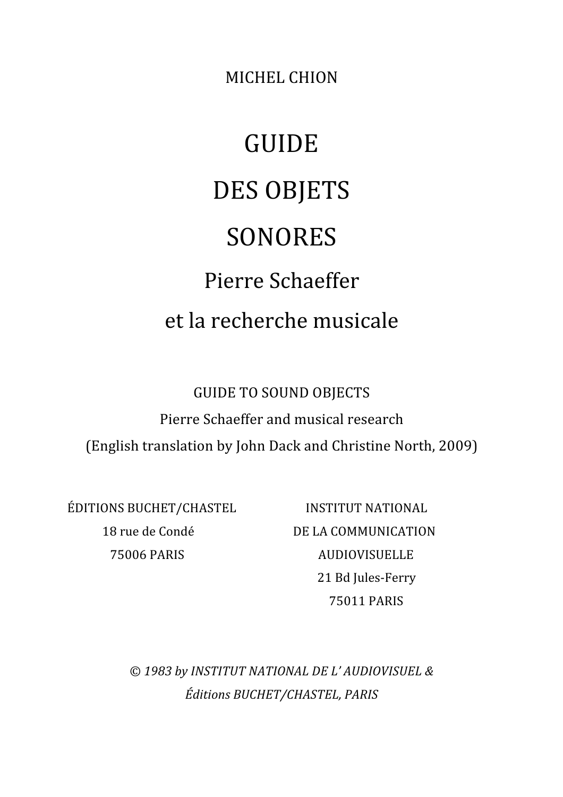MICHEL
CHION

## GUIDE DES
OBJETS SONORES Pierre
Schaeffer et
la
recherche
musicale

GUIDE
TO
SOUND
OBJECTS Pierre
Schaeffer
and
musical
research (English
translation
by
John
Dack
and
Christine
North,
2009)

ÉDITIONS
BUCHET/CHASTEL INSTITUT
NATIONAL

18
rue
de
Condé DE
LA
COMMUNICATION 75006
PARIS AUDIOVISUELLE 21
Bd
Jules‐Ferry 75011
PARIS

© *1983
by
INSTITUT
NATIONAL
DE
L' AUDIOVISUEL
& Éditions
BUCHET/CHASTEL,
PARIS*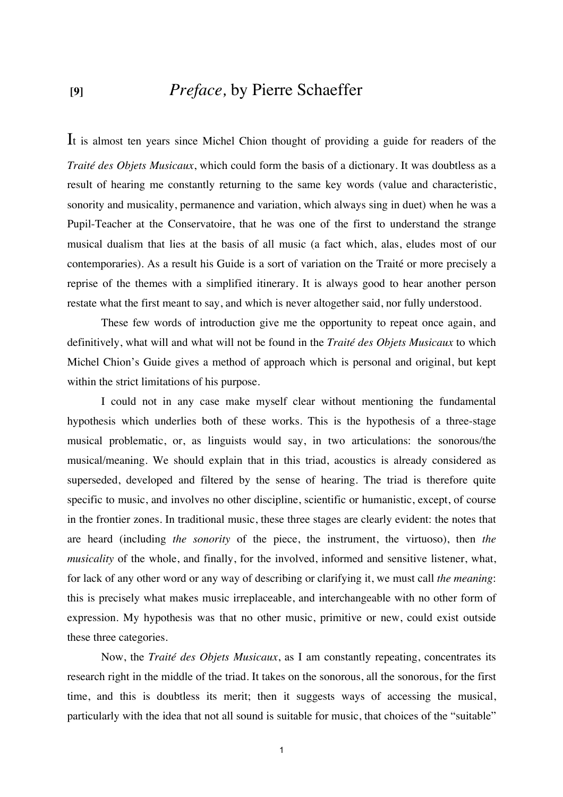## **[9]** *Preface,* by Pierre Schaeffer

It is almost ten years since Michel Chion thought of providing a guide for readers of the *Traité des Objets Musicaux*, which could form the basis of a dictionary. It was doubtless as a result of hearing me constantly returning to the same key words (value and characteristic, sonority and musicality, permanence and variation, which always sing in duet) when he was a Pupil-Teacher at the Conservatoire, that he was one of the first to understand the strange musical dualism that lies at the basis of all music (a fact which, alas, eludes most of our contemporaries). As a result his Guide is a sort of variation on the Traité or more precisely a reprise of the themes with a simplified itinerary. It is always good to hear another person restate what the first meant to say, and which is never altogether said, nor fully understood.

These few words of introduction give me the opportunity to repeat once again, and definitively, what will and what will not be found in the *Traité des Objets Musicaux* to which Michel Chion's Guide gives a method of approach which is personal and original, but kept within the strict limitations of his purpose.

I could not in any case make myself clear without mentioning the fundamental hypothesis which underlies both of these works. This is the hypothesis of a three-stage musical problematic, or, as linguists would say, in two articulations: the sonorous/the musical/meaning. We should explain that in this triad, acoustics is already considered as superseded, developed and filtered by the sense of hearing. The triad is therefore quite specific to music, and involves no other discipline, scientific or humanistic, except, of course in the frontier zones. In traditional music, these three stages are clearly evident: the notes that are heard (including *the sonority* of the piece, the instrument, the virtuoso), then *the musicality* of the whole, and finally, for the involved, informed and sensitive listener, what, for lack of any other word or any way of describing or clarifying it, we must call *the meaning*: this is precisely what makes music irreplaceable, and interchangeable with no other form of expression. My hypothesis was that no other music, primitive or new, could exist outside these three categories.

Now, the *Traité des Objets Musicaux*, as I am constantly repeating, concentrates its research right in the middle of the triad. It takes on the sonorous, all the sonorous, for the first time, and this is doubtless its merit; then it suggests ways of accessing the musical, particularly with the idea that not all sound is suitable for music, that choices of the "suitable"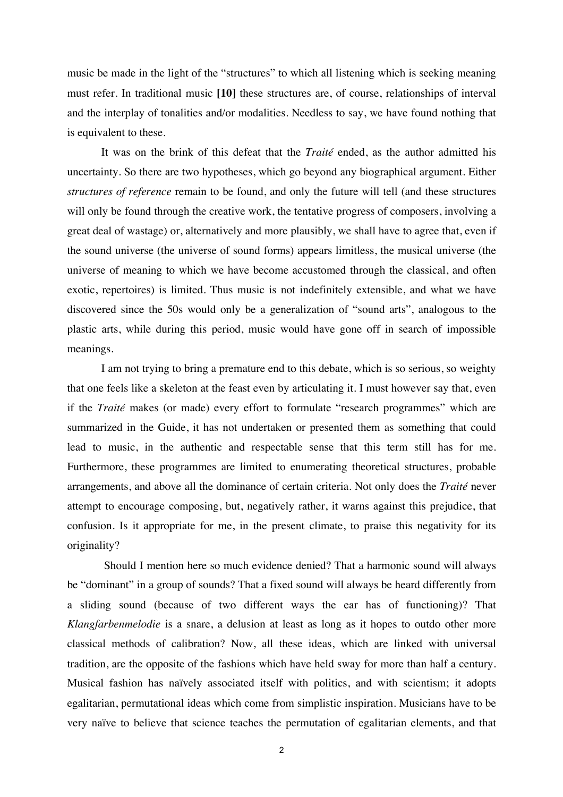music be made in the light of the "structures" to which all listening which is seeking meaning must refer. In traditional music **[10]** these structures are, of course, relationships of interval and the interplay of tonalities and/or modalities. Needless to say, we have found nothing that is equivalent to these.

It was on the brink of this defeat that the *Traité* ended, as the author admitted his uncertainty. So there are two hypotheses, which go beyond any biographical argument. Either *structures of reference* remain to be found, and only the future will tell (and these structures will only be found through the creative work, the tentative progress of composers, involving a great deal of wastage) or, alternatively and more plausibly, we shall have to agree that, even if the sound universe (the universe of sound forms) appears limitless, the musical universe (the universe of meaning to which we have become accustomed through the classical, and often exotic, repertoires) is limited. Thus music is not indefinitely extensible, and what we have discovered since the 50s would only be a generalization of "sound arts", analogous to the plastic arts, while during this period, music would have gone off in search of impossible meanings.

I am not trying to bring a premature end to this debate, which is so serious, so weighty that one feels like a skeleton at the feast even by articulating it. I must however say that, even if the *Traité* makes (or made) every effort to formulate "research programmes" which are summarized in the Guide, it has not undertaken or presented them as something that could lead to music, in the authentic and respectable sense that this term still has for me. Furthermore, these programmes are limited to enumerating theoretical structures, probable arrangements, and above all the dominance of certain criteria. Not only does the *Traité* never attempt to encourage composing, but, negatively rather, it warns against this prejudice, that confusion. Is it appropriate for me, in the present climate, to praise this negativity for its originality?

 Should I mention here so much evidence denied? That a harmonic sound will always be "dominant" in a group of sounds? That a fixed sound will always be heard differently from a sliding sound (because of two different ways the ear has of functioning)? That *Klangfarbenmelodie* is a snare, a delusion at least as long as it hopes to outdo other more classical methods of calibration? Now, all these ideas, which are linked with universal tradition, are the opposite of the fashions which have held sway for more than half a century. Musical fashion has naïvely associated itself with politics, and with scientism; it adopts egalitarian, permutational ideas which come from simplistic inspiration. Musicians have to be very naïve to believe that science teaches the permutation of egalitarian elements, and that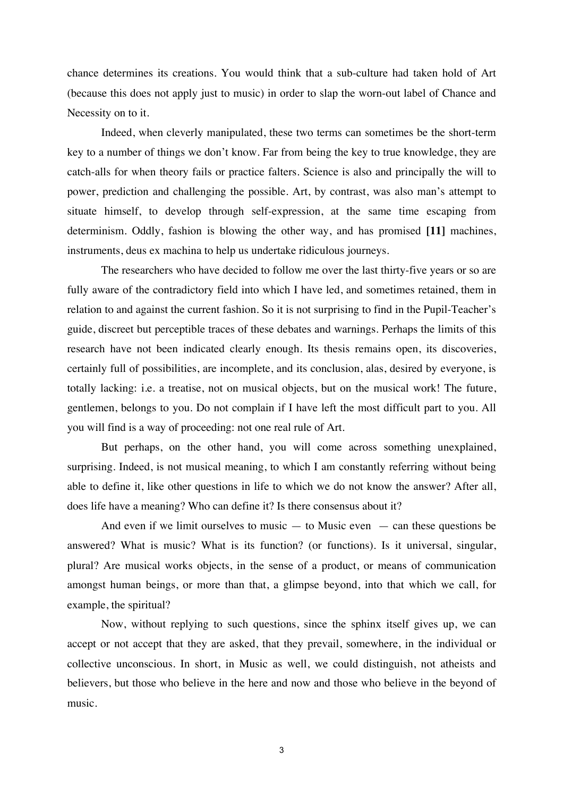chance determines its creations. You would think that a sub-culture had taken hold of Art (because this does not apply just to music) in order to slap the worn-out label of Chance and Necessity on to it.

Indeed, when cleverly manipulated, these two terms can sometimes be the short-term key to a number of things we don't know. Far from being the key to true knowledge, they are catch-alls for when theory fails or practice falters. Science is also and principally the will to power, prediction and challenging the possible. Art, by contrast, was also man's attempt to situate himself, to develop through self-expression, at the same time escaping from determinism. Oddly, fashion is blowing the other way, and has promised **[11]** machines, instruments, deus ex machina to help us undertake ridiculous journeys.

The researchers who have decided to follow me over the last thirty-five years or so are fully aware of the contradictory field into which I have led, and sometimes retained, them in relation to and against the current fashion. So it is not surprising to find in the Pupil-Teacher's guide, discreet but perceptible traces of these debates and warnings. Perhaps the limits of this research have not been indicated clearly enough. Its thesis remains open, its discoveries, certainly full of possibilities, are incomplete, and its conclusion, alas, desired by everyone, is totally lacking: i.e. a treatise, not on musical objects, but on the musical work! The future, gentlemen, belongs to you. Do not complain if I have left the most difficult part to you. All you will find is a way of proceeding: not one real rule of Art.

But perhaps, on the other hand, you will come across something unexplained, surprising. Indeed, is not musical meaning, to which I am constantly referring without being able to define it, like other questions in life to which we do not know the answer? After all, does life have a meaning? Who can define it? Is there consensus about it?

And even if we limit ourselves to music  $-$  to Music even  $-$  can these questions be answered? What is music? What is its function? (or functions). Is it universal, singular, plural? Are musical works objects, in the sense of a product, or means of communication amongst human beings, or more than that, a glimpse beyond, into that which we call, for example, the spiritual?

Now, without replying to such questions, since the sphinx itself gives up, we can accept or not accept that they are asked, that they prevail, somewhere, in the individual or collective unconscious. In short, in Music as well, we could distinguish, not atheists and believers, but those who believe in the here and now and those who believe in the beyond of music.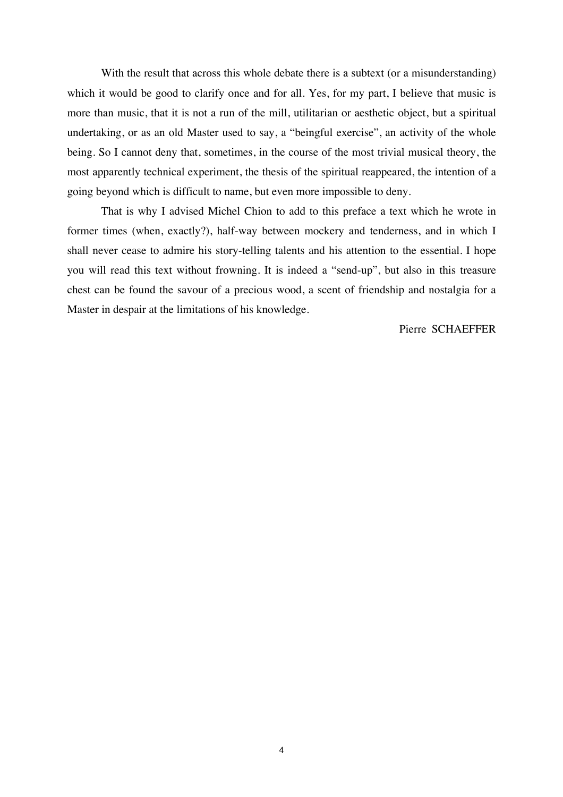With the result that across this whole debate there is a subtext (or a misunderstanding) which it would be good to clarify once and for all. Yes, for my part, I believe that music is more than music, that it is not a run of the mill, utilitarian or aesthetic object, but a spiritual undertaking, or as an old Master used to say, a "beingful exercise", an activity of the whole being. So I cannot deny that, sometimes, in the course of the most trivial musical theory, the most apparently technical experiment, the thesis of the spiritual reappeared, the intention of a going beyond which is difficult to name, but even more impossible to deny.

That is why I advised Michel Chion to add to this preface a text which he wrote in former times (when, exactly?), half-way between mockery and tenderness, and in which I shall never cease to admire his story-telling talents and his attention to the essential. I hope you will read this text without frowning. It is indeed a "send-up", but also in this treasure chest can be found the savour of a precious wood, a scent of friendship and nostalgia for a Master in despair at the limitations of his knowledge.

Pierre SCHAEFFER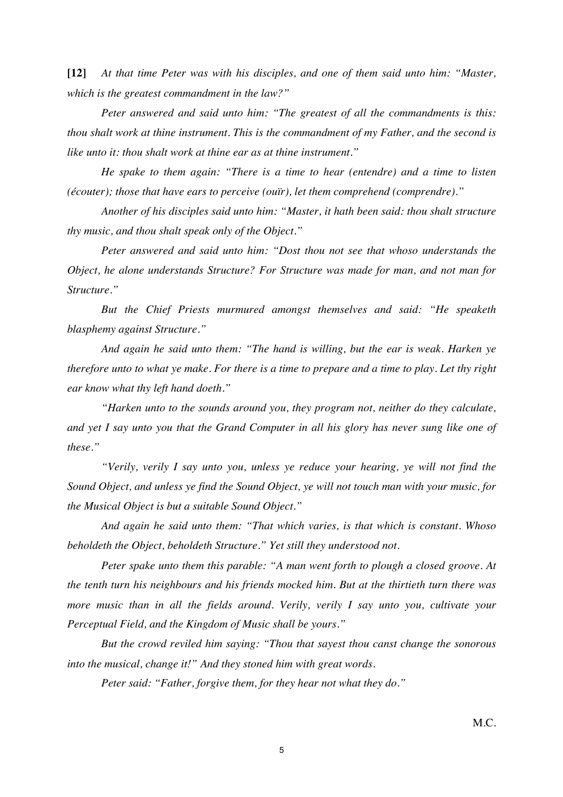**[12]** *At that time Peter was with his disciples, and one of them said unto him: "Master, which is the greatest commandment in the law?"*

*Peter answered and said unto him: "The greatest of all the commandments is this: thou shalt work at thine instrument. This is the commandment of my Father, and the second is like unto it: thou shalt work at thine ear as at thine instrument."*

*He spake to them again: "There is a time to hear (entendre) and a time to listen (écouter); those that have ears to perceive (ouïr), let them comprehend (comprendre)."*

*Another of his disciples said unto him: "Master, it hath been said: thou shalt structure thy music, and thou shalt speak only of the Object."*

*Peter answered and said unto him: "Dost thou not see that whoso understands the Object, he alone understands Structure? For Structure was made for man, and not man for Structure."*

*But the Chief Priests murmured amongst themselves and said: "He speaketh blasphemy against Structure."*

*And again he said unto them: "The hand is willing, but the ear is weak. Harken ye therefore unto to what ye make. For there is a time to prepare and a time to play. Let thy right ear know what thy left hand doeth."*

*"Harken unto to the sounds around you, they program not, neither do they calculate, and yet I say unto you that the Grand Computer in all his glory has never sung like one of these."*

*"Verily, verily I say unto you, unless ye reduce your hearing, ye will not find the Sound Object, and unless ye find the Sound Object, ye will not touch man with your music, for the Musical Object is but a suitable Sound Object."*

*And again he said unto them: "That which varies, is that which is constant. Whoso beholdeth the Object, beholdeth Structure." Yet still they understood not.*

*Peter spake unto them this parable: "A man went forth to plough a closed groove. At the tenth turn his neighbours and his friends mocked him. But at the thirtieth turn there was more music than in all the fields around. Verily, verily I say unto you, cultivate your Perceptual Field, and the Kingdom of Music shall be yours."*

*But the crowd reviled him saying: "Thou that sayest thou canst change the sonorous into the musical, change it!" And they stoned him with great words.*

*Peter said: "Father, forgive them, for they hear not what they do."*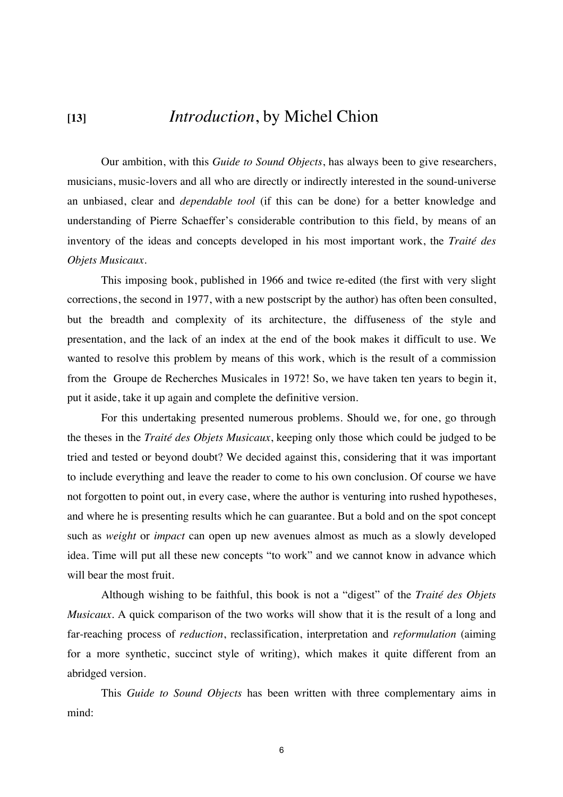## **[13]** *Introduction*, by Michel Chion

Our ambition, with this *Guide to Sound Objects*, has always been to give researchers, musicians, music-lovers and all who are directly or indirectly interested in the sound-universe an unbiased, clear and *dependable tool* (if this can be done) for a better knowledge and understanding of Pierre Schaeffer's considerable contribution to this field, by means of an inventory of the ideas and concepts developed in his most important work, the *Traité des Objets Musicaux*.

This imposing book, published in 1966 and twice re-edited (the first with very slight corrections, the second in 1977, with a new postscript by the author) has often been consulted, but the breadth and complexity of its architecture, the diffuseness of the style and presentation, and the lack of an index at the end of the book makes it difficult to use. We wanted to resolve this problem by means of this work, which is the result of a commission from the Groupe de Recherches Musicales in 1972! So, we have taken ten years to begin it, put it aside, take it up again and complete the definitive version.

For this undertaking presented numerous problems. Should we, for one, go through the theses in the *Traité des Objets Musicaux*, keeping only those which could be judged to be tried and tested or beyond doubt? We decided against this, considering that it was important to include everything and leave the reader to come to his own conclusion. Of course we have not forgotten to point out, in every case, where the author is venturing into rushed hypotheses, and where he is presenting results which he can guarantee. But a bold and on the spot concept such as *weight* or *impact* can open up new avenues almost as much as a slowly developed idea. Time will put all these new concepts "to work" and we cannot know in advance which will bear the most fruit.

Although wishing to be faithful, this book is not a "digest" of the *Traité des Objets Musicaux*. A quick comparison of the two works will show that it is the result of a long and far-reaching process of *reduction*, reclassification, interpretation and *reformulation* (aiming for a more synthetic, succinct style of writing), which makes it quite different from an abridged version.

This *Guide to Sound Objects* has been written with three complementary aims in mind: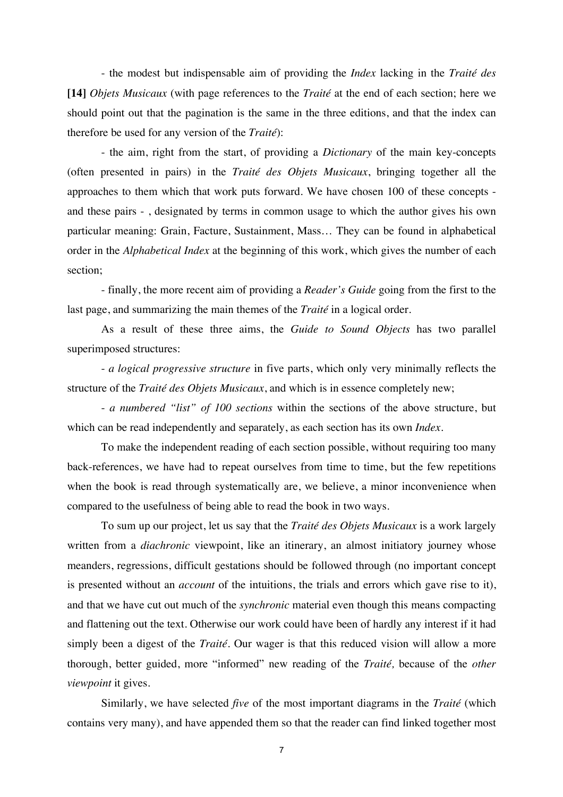- the modest but indispensable aim of providing the *Index* lacking in the *Traité des* **[14]** *Objets Musicaux* (with page references to the *Traité* at the end of each section; here we should point out that the pagination is the same in the three editions, and that the index can therefore be used for any version of the *Traité*):

- the aim, right from the start, of providing a *Dictionary* of the main key-concepts (often presented in pairs) in the *Traité des Objets Musicaux*, bringing together all the approaches to them which that work puts forward. We have chosen 100 of these concepts and these pairs - , designated by terms in common usage to which the author gives his own particular meaning: Grain, Facture, Sustainment, Mass… They can be found in alphabetical order in the *Alphabetical Index* at the beginning of this work, which gives the number of each section;

- finally, the more recent aim of providing a *Reader's Guide* going from the first to the last page, and summarizing the main themes of the *Traité* in a logical order.

As a result of these three aims, the *Guide to Sound Objects* has two parallel superimposed structures:

- *a logical progressive structure* in five parts, which only very minimally reflects the structure of the *Traité des Objets Musicaux*, and which is in essence completely new;

- *a numbered "list" of 100 sections* within the sections of the above structure, but which can be read independently and separately, as each section has its own *Index*.

To make the independent reading of each section possible, without requiring too many back-references, we have had to repeat ourselves from time to time, but the few repetitions when the book is read through systematically are, we believe, a minor inconvenience when compared to the usefulness of being able to read the book in two ways.

To sum up our project, let us say that the *Traité des Objets Musicaux* is a work largely written from a *diachronic* viewpoint, like an itinerary, an almost initiatory journey whose meanders, regressions, difficult gestations should be followed through (no important concept is presented without an *account* of the intuitions, the trials and errors which gave rise to it), and that we have cut out much of the *synchronic* material even though this means compacting and flattening out the text. Otherwise our work could have been of hardly any interest if it had simply been a digest of the *Traité.* Our wager is that this reduced vision will allow a more thorough, better guided, more "informed" new reading of the *Traité,* because of the *other viewpoint* it gives.

Similarly, we have selected *five* of the most important diagrams in the *Traité* (which contains very many), and have appended them so that the reader can find linked together most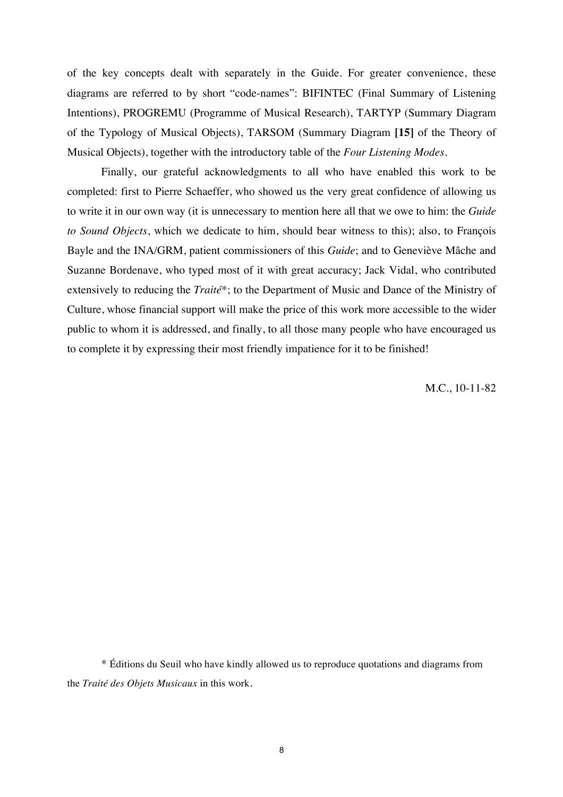of the key concepts dealt with separately in the Guide. For greater convenience, these diagrams are referred to by short "code-names": BIFINTEC (Final Summary of Listening Intentions), PROGREMU (Programme of Musical Research), TARTYP (Summary Diagram of the Typology of Musical Objects), TARSOM (Summary Diagram **[15]** of the Theory of Musical Objects), together with the introductory table of the *Four Listening Modes*.

Finally, our grateful acknowledgments to all who have enabled this work to be completed: first to Pierre Schaeffer, who showed us the very great confidence of allowing us to write it in our own way (it is unnecessary to mention here all that we owe to him: the *Guide to Sound Objects*, which we dedicate to him, should bear witness to this); also, to François Bayle and the INA/GRM, patient commissioners of this *Guide*; and to Geneviève Mâche and Suzanne Bordenave, who typed most of it with great accuracy; Jack Vidal, who contributed extensively to reducing the *Traité*\*; to the Department of Music and Dance of the Ministry of Culture, whose financial support will make the price of this work more accessible to the wider public to whom it is addressed, and finally, to all those many people who have encouraged us to complete it by expressing their most friendly impatience for it to be finished!

M.C., 10-11-82

\* Éditions du Seuil who have kindly allowed us to reproduce quotations and diagrams from the *Traité des Objets Musicaux* in this work.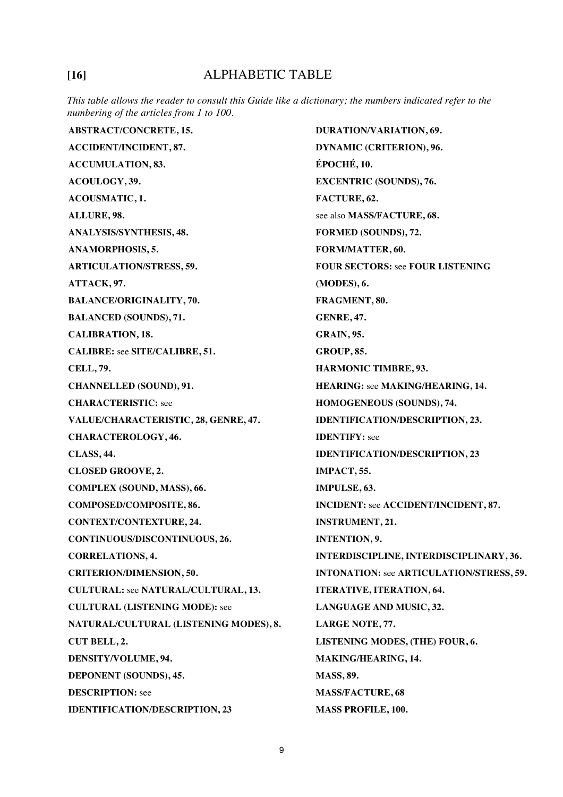## **[16]** ALPHABETIC TABLE

*This table allows the reader to consult this Guide like a dictionary; the numbers indicated refer to the numbering of the articles from 1 to 100.*

**ABSTRACT/CONCRETE, 15. ACCIDENT/INCIDENT, 87. ACCUMULATION, 83. ACOULOGY, 39. ACOUSMATIC, 1. ALLURE, 98. ANALYSIS/SYNTHESIS, 48. ANAMORPHOSIS, 5. ARTICULATION/STRESS, 59. ATTACK, 97. BALANCE/ORIGINALITY, 70. BALANCED (SOUNDS), 71. CALIBRATION, 18. CALIBRE:** see **SITE/CALIBRE, 51. CELL, 79. CHANNELLED (SOUND), 91. CHARACTERISTIC:** see **VALUE/CHARACTERISTIC, 28, GENRE, 47. CHARACTEROLOGY, 46. CLASS, 44. CLOSED GROOVE, 2. COMPLEX (SOUND, MASS), 66. COMPOSED/COMPOSITE, 86. CONTEXT/CONTEXTURE, 24. CONTINUOUS/DISCONTINUOUS, 26. CORRELATIONS, 4. CRITERION/DIMENSION, 50. CULTURAL:** see **NATURAL/CULTURAL, 13. CULTURAL (LISTENING MODE):** see **NATURAL/CULTURAL (LISTENING MODES), 8. CUT BELL, 2. DENSITY/VOLUME, 94. DEPONENT (SOUNDS), 45. DESCRIPTION:** see **IDENTIFICATION/DESCRIPTION, 23 DURATION/VARIATION, 69. DYNAMIC (CRITERION), 96. ÉPOCHÉ, 10. EXCENTRIC (SOUNDS), 76. FACTURE, 62.** see also **MASS/FACTURE, 68. FORMED (SOUNDS), 72. FORM/MATTER, 60. FOUR SECTORS:** see **FOUR LISTENING (MODES), 6. FRAGMENT, 80. GENRE, 47. GRAIN, 95. GROUP, 85. HARMONIC TIMBRE, 93. HEARING:** see **MAKING/HEARING, 14. HOMOGENEOUS (SOUNDS), 74. IDENTIFICATION/DESCRIPTION, 23. IDENTIFY:** see **IDENTIFICATION/DESCRIPTION, 23 IMPACT, 55. IMPULSE, 63. INCIDENT:** see **ACCIDENT/INCIDENT, 87. INSTRUMENT, 21. INTENTION, 9. INTERDISCIPLINE, INTERDISCIPLINARY, 36. INTONATION:** see **ARTICULATION/STRESS, 59. ITERATIVE, ITERATION, 64. LANGUAGE AND MUSIC, 32. LARGE NOTE, 77. LISTENING MODES, (THE) FOUR, 6. MAKING/HEARING, 14. MASS, 89. MASS/FACTURE, 68 MASS PROFILE, 100.**